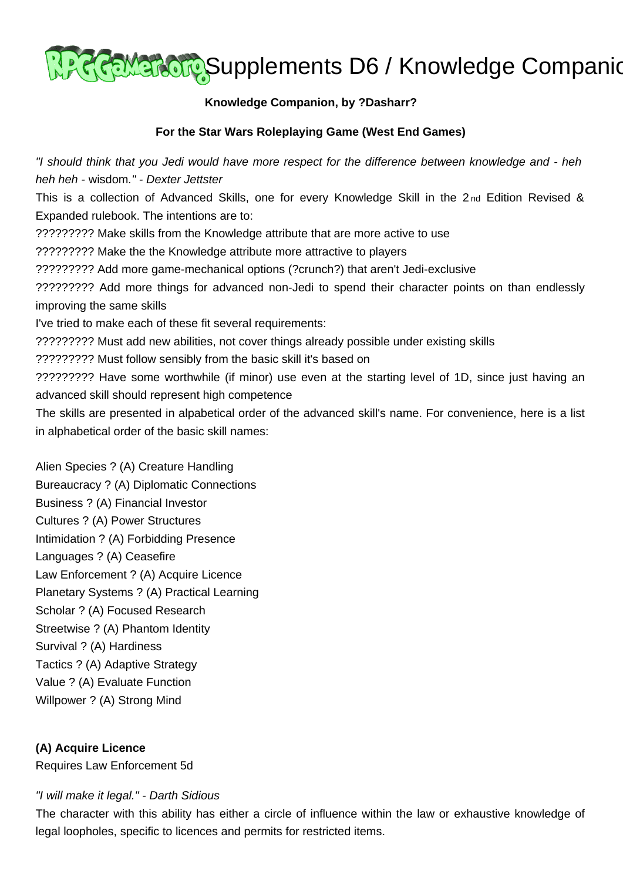

### **Knowledge Companion, by ?Dasharr?**

### **For the Star Wars Roleplaying Game (West End Games)**

"I should think that you Jedi would have more respect for the difference between knowledge and - heh heh heh - wisdom." - Dexter Jettster This is a collection of Advanced Skills, one for every Knowledge Skill in the 2nd Edition Revised & Expanded rulebook. The intentions are to: ????????? Make skills from the Knowledge attribute that are more active to use ????????? Make the the Knowledge attribute more attractive to players ????????? Add more game-mechanical options (?crunch?) that aren't Jedi-exclusive ????????? Add more things for advanced non-Jedi to spend their character points on than endlessly improving the same skills I've tried to make each of these fit several requirements: ????????? Must add new abilities, not cover things already possible under existing skills ????????? Must follow sensibly from the basic skill it's based on ????????? Have some worthwhile (if minor) use even at the starting level of 1D, since just having an advanced skill should represent high competence The skills are presented in alpabetical order of the advanced skill's name. For convenience, here is a list in alphabetical order of the basic skill names:

Alien Species ? (A) Creature Handling Bureaucracy ? (A) Diplomatic Connections Business ? (A) Financial Investor Cultures ? (A) Power Structures Intimidation ? (A) Forbidding Presence Languages ? (A) Ceasefire Law Enforcement ? (A) Acquire Licence Planetary Systems ? (A) Practical Learning Scholar ? (A) Focused Research Streetwise ? (A) Phantom Identity Survival ? (A) Hardiness Tactics ? (A) Adaptive Strategy Value ? (A) Evaluate Function Willpower ? (A) Strong Mind

#### **(A) Acquire Licence**

Requires Law Enforcement 5d

#### "I will make it legal." - Darth Sidious

The character with this ability has either a circle of influence within the law or exhaustive knowledge of legal loopholes, specific to licences and permits for restricted items.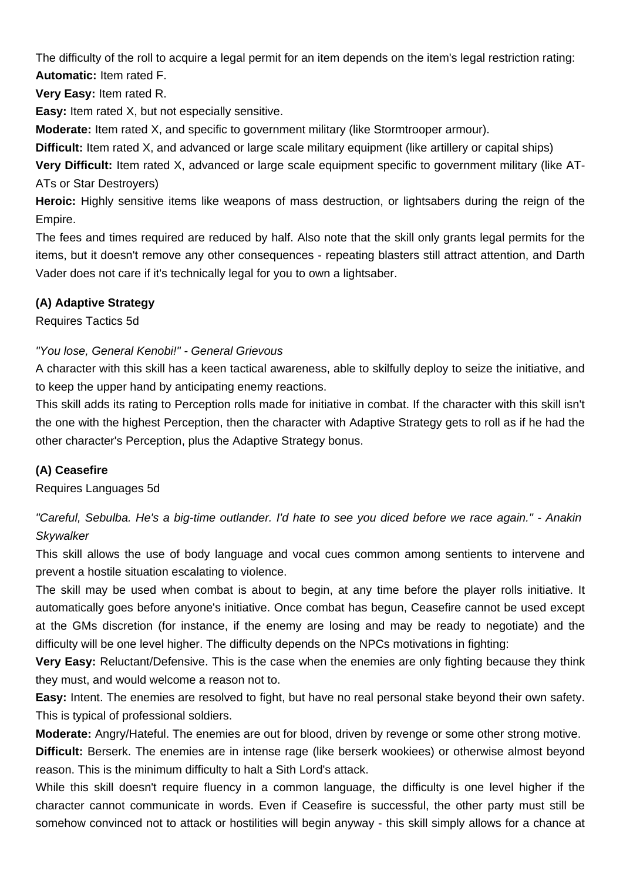The difficulty of the roll to acquire a legal permit for an item depends on the item's legal restriction rating: **Automatic:** Item rated F.

**Very Easy:** Item rated R.

**Easy:** Item rated X, but not especially sensitive.

**Moderate:** Item rated X, and specific to government military (like Stormtrooper armour).

**Difficult:** Item rated X, and advanced or large scale military equipment (like artillery or capital ships)

**Very Difficult:** Item rated X, advanced or large scale equipment specific to government military (like AT-ATs or Star Destroyers)

**Heroic:** Highly sensitive items like weapons of mass destruction, or lightsabers during the reign of the Empire.

The fees and times required are reduced by half. Also note that the skill only grants legal permits for the items, but it doesn't remove any other consequences - repeating blasters still attract attention, and Darth Vader does not care if it's technically legal for you to own a lightsaber.

# **(A) Adaptive Strategy**

Requires Tactics 5d

# "You lose, General Kenobi!" - General Grievous

A character with this skill has a keen tactical awareness, able to skilfully deploy to seize the initiative, and to keep the upper hand by anticipating enemy reactions.

This skill adds its rating to Perception rolls made for initiative in combat. If the character with this skill isn't the one with the highest Perception, then the character with Adaptive Strategy gets to roll as if he had the other character's Perception, plus the Adaptive Strategy bonus.

# **(A) Ceasefire**

Requires Languages 5d

"Careful, Sebulba. He's a big-time outlander. I'd hate to see you diced before we race again." - Anakin **Skvwalker** 

This skill allows the use of body language and vocal cues common among sentients to intervene and prevent a hostile situation escalating to violence.

The skill may be used when combat is about to begin, at any time before the player rolls initiative. It automatically goes before anyone's initiative. Once combat has begun, Ceasefire cannot be used except at the GMs discretion (for instance, if the enemy are losing and may be ready to negotiate) and the difficulty will be one level higher. The difficulty depends on the NPCs motivations in fighting:

**Very Easy:** Reluctant/Defensive. This is the case when the enemies are only fighting because they think they must, and would welcome a reason not to.

**Easy:** Intent. The enemies are resolved to fight, but have no real personal stake beyond their own safety. This is typical of professional soldiers.

**Moderate:** Angry/Hateful. The enemies are out for blood, driven by revenge or some other strong motive.

**Difficult:** Berserk. The enemies are in intense rage (like berserk wookiees) or otherwise almost beyond reason. This is the minimum difficulty to halt a Sith Lord's attack.

While this skill doesn't require fluency in a common language, the difficulty is one level higher if the character cannot communicate in words. Even if Ceasefire is successful, the other party must still be somehow convinced not to attack or hostilities will begin anyway - this skill simply allows for a chance at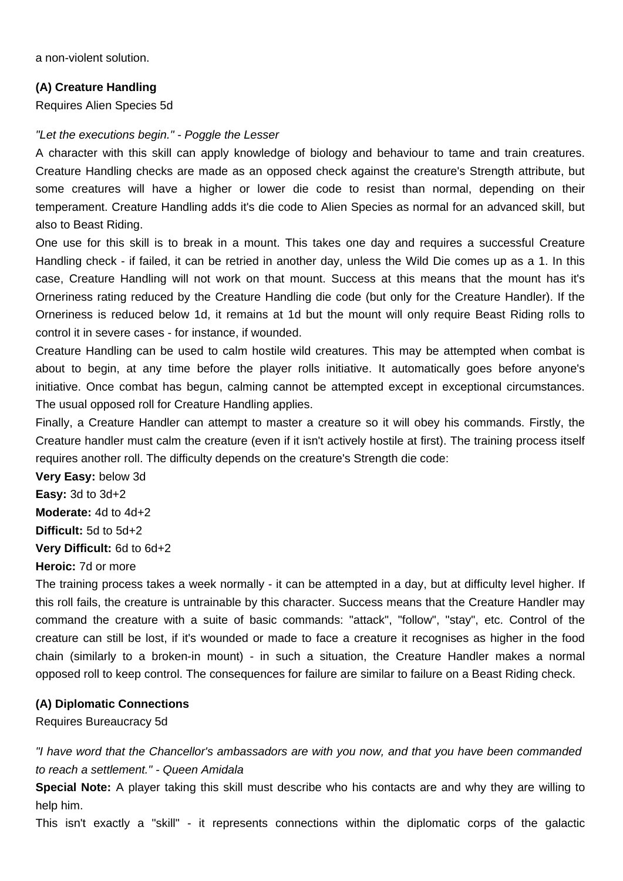a non-violent solution.

#### **(A) Creature Handling**

Requires Alien Species 5d

#### "Let the executions begin." - Poggle the Lesser

A character with this skill can apply knowledge of biology and behaviour to tame and train creatures. Creature Handling checks are made as an opposed check against the creature's Strength attribute, but some creatures will have a higher or lower die code to resist than normal, depending on their temperament. Creature Handling adds it's die code to Alien Species as normal for an advanced skill, but also to Beast Riding.

One use for this skill is to break in a mount. This takes one day and requires a successful Creature Handling check - if failed, it can be retried in another day, unless the Wild Die comes up as a 1. In this case, Creature Handling will not work on that mount. Success at this means that the mount has it's Orneriness rating reduced by the Creature Handling die code (but only for the Creature Handler). If the Orneriness is reduced below 1d, it remains at 1d but the mount will only require Beast Riding rolls to control it in severe cases - for instance, if wounded.

Creature Handling can be used to calm hostile wild creatures. This may be attempted when combat is about to begin, at any time before the player rolls initiative. It automatically goes before anyone's initiative. Once combat has begun, calming cannot be attempted except in exceptional circumstances. The usual opposed roll for Creature Handling applies.

Finally, a Creature Handler can attempt to master a creature so it will obey his commands. Firstly, the Creature handler must calm the creature (even if it isn't actively hostile at first). The training process itself requires another roll. The difficulty depends on the creature's Strength die code:

**Very Easy:** below 3d **Easy:** 3d to 3d+2 **Moderate:** 4d to 4d+2 **Difficult:** 5d to 5d+2 **Very Difficult:** 6d to 6d+2

# **Heroic:** 7d or more

The training process takes a week normally - it can be attempted in a day, but at difficulty level higher. If this roll fails, the creature is untrainable by this character. Success means that the Creature Handler may command the creature with a suite of basic commands: "attack", "follow", "stay", etc. Control of the creature can still be lost, if it's wounded or made to face a creature it recognises as higher in the food chain (similarly to a broken-in mount) - in such a situation, the Creature Handler makes a normal opposed roll to keep control. The consequences for failure are similar to failure on a Beast Riding check.

#### **(A) Diplomatic Connections**

Requires Bureaucracy 5d

"I have word that the Chancellor's ambassadors are with you now, and that you have been commanded to reach a settlement." - Queen Amidala

**Special Note:** A player taking this skill must describe who his contacts are and why they are willing to help him.

This isn't exactly a "skill" - it represents connections within the diplomatic corps of the galactic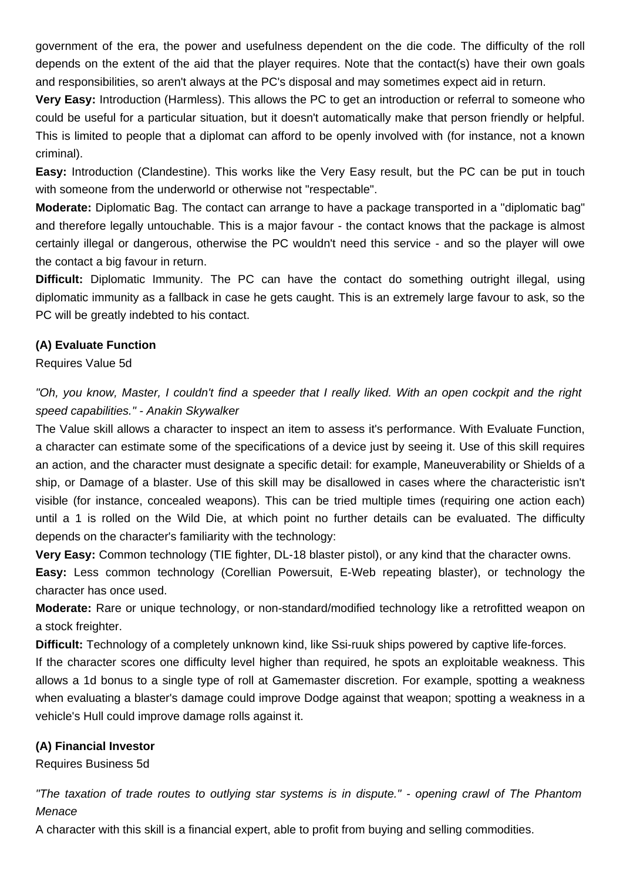government of the era, the power and usefulness dependent on the die code. The difficulty of the roll depends on the extent of the aid that the player requires. Note that the contact(s) have their own goals and responsibilities, so aren't always at the PC's disposal and may sometimes expect aid in return.

**Very Easy:** Introduction (Harmless). This allows the PC to get an introduction or referral to someone who could be useful for a particular situation, but it doesn't automatically make that person friendly or helpful. This is limited to people that a diplomat can afford to be openly involved with (for instance, not a known criminal).

**Easy:** Introduction (Clandestine). This works like the Very Easy result, but the PC can be put in touch with someone from the underworld or otherwise not "respectable".

**Moderate:** Diplomatic Bag. The contact can arrange to have a package transported in a "diplomatic bag" and therefore legally untouchable. This is a major favour - the contact knows that the package is almost certainly illegal or dangerous, otherwise the PC wouldn't need this service - and so the player will owe the contact a big favour in return.

**Difficult:** Diplomatic Immunity. The PC can have the contact do something outright illegal, using diplomatic immunity as a fallback in case he gets caught. This is an extremely large favour to ask, so the PC will be greatly indebted to his contact.

# **(A) Evaluate Function**

Requires Value 5d

"Oh, you know, Master, I couldn't find a speeder that I really liked. With an open cockpit and the right speed capabilities." - Anakin Skywalker

The Value skill allows a character to inspect an item to assess it's performance. With Evaluate Function, a character can estimate some of the specifications of a device just by seeing it. Use of this skill requires an action, and the character must designate a specific detail: for example, Maneuverability or Shields of a ship, or Damage of a blaster. Use of this skill may be disallowed in cases where the characteristic isn't visible (for instance, concealed weapons). This can be tried multiple times (requiring one action each) until a 1 is rolled on the Wild Die, at which point no further details can be evaluated. The difficulty depends on the character's familiarity with the technology:

**Very Easy:** Common technology (TIE fighter, DL-18 blaster pistol), or any kind that the character owns.

**Easy:** Less common technology (Corellian Powersuit, E-Web repeating blaster), or technology the character has once used.

**Moderate:** Rare or unique technology, or non-standard/modified technology like a retrofitted weapon on a stock freighter.

**Difficult:** Technology of a completely unknown kind, like Ssi-ruuk ships powered by captive life-forces.

If the character scores one difficulty level higher than required, he spots an exploitable weakness. This allows a 1d bonus to a single type of roll at Gamemaster discretion. For example, spotting a weakness when evaluating a blaster's damage could improve Dodge against that weapon; spotting a weakness in a vehicle's Hull could improve damage rolls against it.

# **(A) Financial Investor**

Requires Business 5d

"The taxation of trade routes to outlying star systems is in dispute." - opening crawl of The Phantom **Menace** 

A character with this skill is a financial expert, able to profit from buying and selling commodities.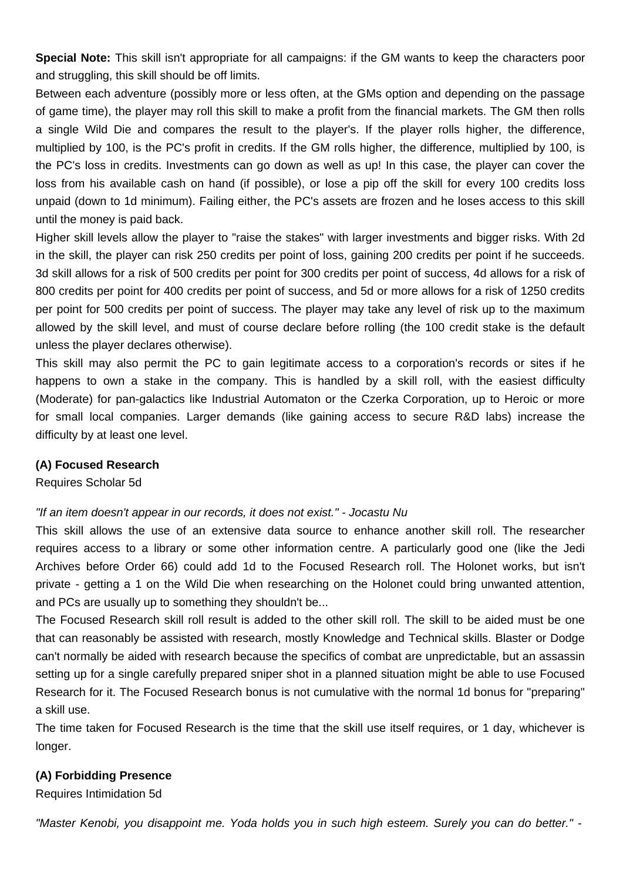**Special Note:** This skill isn't appropriate for all campaigns: if the GM wants to keep the characters poor and struggling, this skill should be off limits.

Between each adventure (possibly more or less often, at the GMs option and depending on the passage of game time), the player may roll this skill to make a profit from the financial markets. The GM then rolls a single Wild Die and compares the result to the player's. If the player rolls higher, the difference, multiplied by 100, is the PC's profit in credits. If the GM rolls higher, the difference, multiplied by 100, is the PC's loss in credits. Investments can go down as well as up! In this case, the player can cover the loss from his available cash on hand (if possible), or lose a pip off the skill for every 100 credits loss unpaid (down to 1d minimum). Failing either, the PC's assets are frozen and he loses access to this skill until the money is paid back.

Higher skill levels allow the player to "raise the stakes" with larger investments and bigger risks. With 2d in the skill, the player can risk 250 credits per point of loss, gaining 200 credits per point if he succeeds. 3d skill allows for a risk of 500 credits per point for 300 credits per point of success, 4d allows for a risk of 800 credits per point for 400 credits per point of success, and 5d or more allows for a risk of 1250 credits per point for 500 credits per point of success. The player may take any level of risk up to the maximum allowed by the skill level, and must of course declare before rolling (the 100 credit stake is the default unless the player declares otherwise).

This skill may also permit the PC to gain legitimate access to a corporation's records or sites if he happens to own a stake in the company. This is handled by a skill roll, with the easiest difficulty (Moderate) for pan-galactics like Industrial Automaton or the Czerka Corporation, up to Heroic or more for small local companies. Larger demands (like gaining access to secure R&D labs) increase the difficulty by at least one level.

#### **(A) Focused Research**

Requires Scholar 5d

#### "If an item doesn't appear in our records, it does not exist." - Jocastu Nu

This skill allows the use of an extensive data source to enhance another skill roll. The researcher requires access to a library or some other information centre. A particularly good one (like the Jedi Archives before Order 66) could add 1d to the Focused Research roll. The Holonet works, but isn't private - getting a 1 on the Wild Die when researching on the Holonet could bring unwanted attention, and PCs are usually up to something they shouldn't be...

The Focused Research skill roll result is added to the other skill roll. The skill to be aided must be one that can reasonably be assisted with research, mostly Knowledge and Technical skills. Blaster or Dodge can't normally be aided with research because the specifics of combat are unpredictable, but an assassin setting up for a single carefully prepared sniper shot in a planned situation might be able to use Focused Research for it. The Focused Research bonus is not cumulative with the normal 1d bonus for "preparing" a skill use.

The time taken for Focused Research is the time that the skill use itself requires, or 1 day, whichever is longer.

#### **(A) Forbidding Presence**

Requires Intimidation 5d

"Master Kenobi, you disappoint me. Yoda holds you in such high esteem. Surely you can do better." -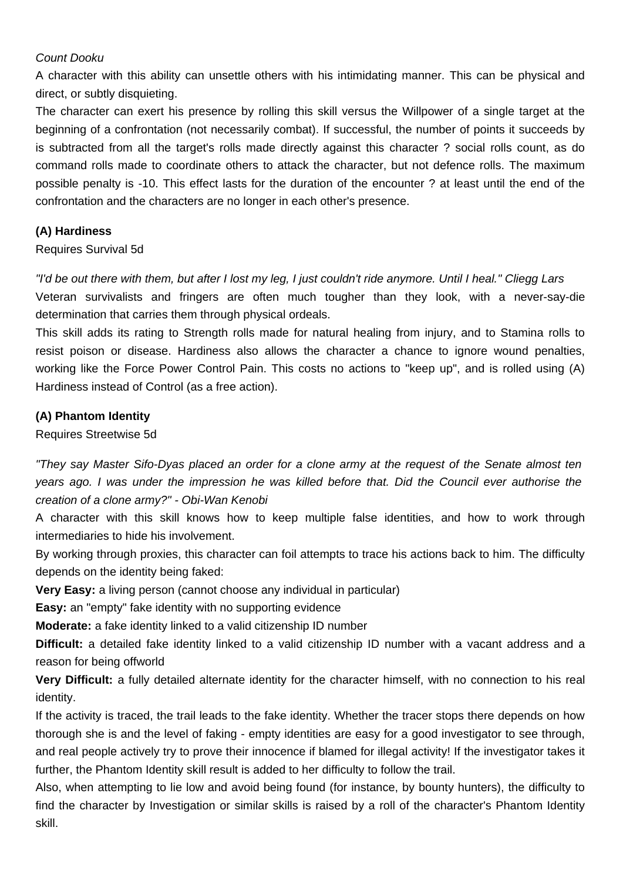# Count Dooku

A character with this ability can unsettle others with his intimidating manner. This can be physical and direct, or subtly disquieting.

The character can exert his presence by rolling this skill versus the Willpower of a single target at the beginning of a confrontation (not necessarily combat). If successful, the number of points it succeeds by is subtracted from all the target's rolls made directly against this character ? social rolls count, as do command rolls made to coordinate others to attack the character, but not defence rolls. The maximum possible penalty is -10. This effect lasts for the duration of the encounter ? at least until the end of the confrontation and the characters are no longer in each other's presence.

# **(A) Hardiness**

# Requires Survival 5d

"I'd be out there with them, but after I lost my leg, I just couldn't ride anymore. Until I heal." Cliegg Lars Veteran survivalists and fringers are often much tougher than they look, with a never-say-die determination that carries them through physical ordeals.

This skill adds its rating to Strength rolls made for natural healing from injury, and to Stamina rolls to resist poison or disease. Hardiness also allows the character a chance to ignore wound penalties, working like the Force Power Control Pain. This costs no actions to "keep up", and is rolled using (A) Hardiness instead of Control (as a free action).

# **(A) Phantom Identity**

Requires Streetwise 5d

"They say Master Sifo-Dyas placed an order for a clone army at the request of the Senate almost ten years ago. I was under the impression he was killed before that. Did the Council ever authorise the creation of a clone army?" - Obi-Wan Kenobi

A character with this skill knows how to keep multiple false identities, and how to work through intermediaries to hide his involvement.

By working through proxies, this character can foil attempts to trace his actions back to him. The difficulty depends on the identity being faked:

**Very Easy:** a living person (cannot choose any individual in particular)

**Easy:** an "empty" fake identity with no supporting evidence

**Moderate:** a fake identity linked to a valid citizenship ID number

**Difficult:** a detailed fake identity linked to a valid citizenship ID number with a vacant address and a reason for being offworld

**Very Difficult:** a fully detailed alternate identity for the character himself, with no connection to his real identity.

If the activity is traced, the trail leads to the fake identity. Whether the tracer stops there depends on how thorough she is and the level of faking - empty identities are easy for a good investigator to see through, and real people actively try to prove their innocence if blamed for illegal activity! If the investigator takes it further, the Phantom Identity skill result is added to her difficulty to follow the trail.

Also, when attempting to lie low and avoid being found (for instance, by bounty hunters), the difficulty to find the character by Investigation or similar skills is raised by a roll of the character's Phantom Identity skill.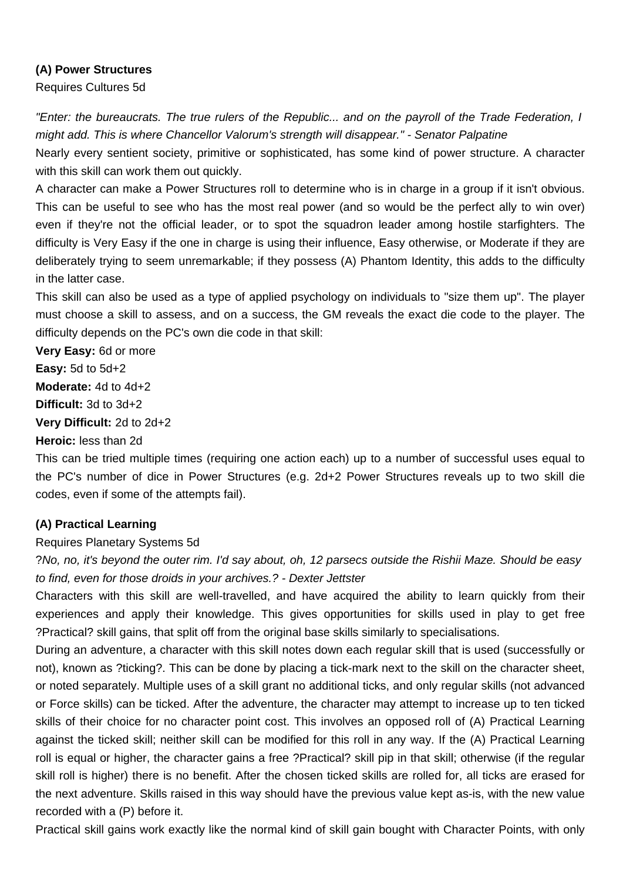#### **(A) Power Structures**

Requires Cultures 5d

"Enter: the bureaucrats. The true rulers of the Republic... and on the payroll of the Trade Federation, I might add. This is where Chancellor Valorum's strength will disappear." - Senator Palpatine

Nearly every sentient society, primitive or sophisticated, has some kind of power structure. A character with this skill can work them out quickly.

A character can make a Power Structures roll to determine who is in charge in a group if it isn't obvious. This can be useful to see who has the most real power (and so would be the perfect ally to win over) even if they're not the official leader, or to spot the squadron leader among hostile starfighters. The difficulty is Very Easy if the one in charge is using their influence, Easy otherwise, or Moderate if they are deliberately trying to seem unremarkable; if they possess (A) Phantom Identity, this adds to the difficulty in the latter case.

This skill can also be used as a type of applied psychology on individuals to "size them up". The player must choose a skill to assess, and on a success, the GM reveals the exact die code to the player. The difficulty depends on the PC's own die code in that skill:

**Very Easy:** 6d or more **Easy:** 5d to 5d+2 **Moderate:** 4d to 4d+2 **Difficult:** 3d to 3d+2 **Very Difficult:** 2d to 2d+2 **Heroic:** less than 2d

This can be tried multiple times (requiring one action each) up to a number of successful uses equal to the PC's number of dice in Power Structures (e.g. 2d+2 Power Structures reveals up to two skill die codes, even if some of the attempts fail).

# **(A) Practical Learning**

# Requires Planetary Systems 5d

?No, no, it's beyond the outer rim. I'd say about, oh, 12 parsecs outside the Rishii Maze. Should be easy to find, even for those droids in your archives.? - Dexter Jettster

Characters with this skill are well-travelled, and have acquired the ability to learn quickly from their experiences and apply their knowledge. This gives opportunities for skills used in play to get free ?Practical? skill gains, that split off from the original base skills similarly to specialisations.

During an adventure, a character with this skill notes down each regular skill that is used (successfully or not), known as ?ticking?. This can be done by placing a tick-mark next to the skill on the character sheet, or noted separately. Multiple uses of a skill grant no additional ticks, and only regular skills (not advanced or Force skills) can be ticked. After the adventure, the character may attempt to increase up to ten ticked skills of their choice for no character point cost. This involves an opposed roll of (A) Practical Learning against the ticked skill; neither skill can be modified for this roll in any way. If the (A) Practical Learning roll is equal or higher, the character gains a free ?Practical? skill pip in that skill; otherwise (if the regular skill roll is higher) there is no benefit. After the chosen ticked skills are rolled for, all ticks are erased for the next adventure. Skills raised in this way should have the previous value kept as-is, with the new value recorded with a (P) before it.

Practical skill gains work exactly like the normal kind of skill gain bought with Character Points, with only